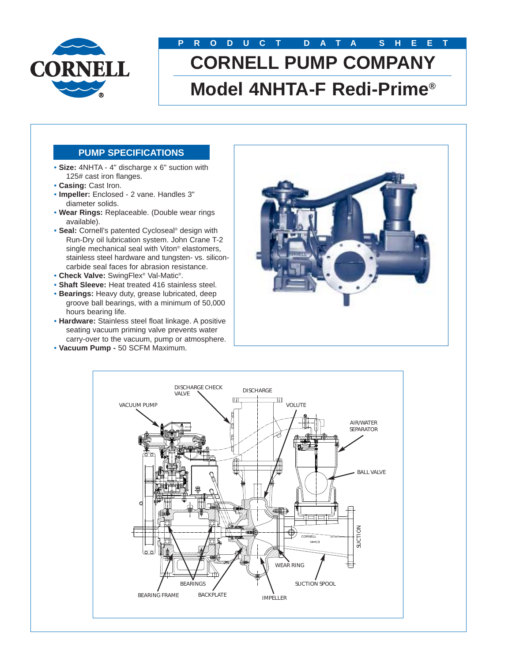

# **PRODUCT DATA SHEET CORNELL PUMP COMPANY Model 4NHTA-F Redi-Prime®**

### **PUMP SPECIFICATIONS**

- **Size:** 4NHTA 4" discharge x 6" suction with 125# cast iron flanges.
- **Casing:** Cast Iron.
- **Impeller:** Enclosed 2 vane. Handles 3" diameter solids.
- **Wear Rings:** Replaceable. (Double wear rings available).
- **Seal:** Cornell's patented Cycloseal® design with Run-Dry oil lubrication system. John Crane T-2 single mechanical seal with Viton® elastomers, stainless steel hardware and tungsten- vs. siliconcarbide seal faces for abrasion resistance.
- **Check Valve:** SwingFlex® Val-Matic®.
- **Shaft Sleeve:** Heat treated 416 stainless steel.
- **Bearings:** Heavy duty, grease lubricated, deep groove ball bearings, with a minimum of 50,000 hours bearing life.
- **Hardware:** Stainless steel float linkage. A positive seating vacuum priming valve prevents water carry-over to the vacuum, pump or atmosphere.
- **Vacuum Pump** 50 SCFM Maximum.